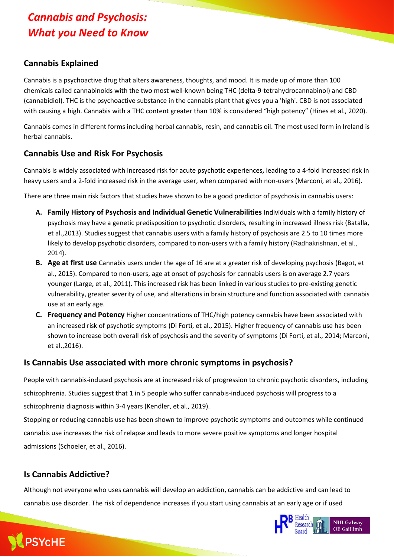# *Cannabis and Psychosis: What you Need to Know*

### **Cannabis Explained**

Cannabis is a psychoactive drug that alters awareness, thoughts, and mood. It is made up of more than 100 chemicals called cannabinoids with the two most well-known being THC (delta-9-tetrahydrocannabinol) and CBD (cannabidiol). THC is the psychoactive substance in the cannabis plant that gives you a 'high'. CBD is not associated with causing a high. Cannabis with a THC content greater than 10% is considered "high potency" (Hines et al., 2020).

Cannabis comes in different forms including herbal cannabis, resin, and cannabis oil. The most used form in Ireland is herbal cannabis.

#### **Cannabis Use and Risk For Psychosis**

Cannabis is widely associated with increased risk for acute psychotic experiences**,** leading to a 4-fold increased risk in heavy users and a 2-fold increased risk in the average user, when compared with non-users (Marconi, et al., 2016).

There are three main risk factors that studies have shown to be a good predictor of psychosis in cannabis users:

- **A. Family History of Psychosis and Individual Genetic Vulnerabilities** Individuals with a family history of psychosis may have a genetic predisposition to psychotic disorders, resulting in increased illness risk (Batalla, et al.,2013). Studies suggest that cannabis users with a family history of psychosis are 2.5 to 10 times more likely to develop psychotic disorders, compared to non-users with a family history (Radhakrishnan, et al., 2014).
- **B. Age at first use** Cannabis users under the age of 16 are at a greater risk of developing psychosis (Bagot, et al., 2015). Compared to non-users, age at onset of psychosis for cannabis users is on average 2.7 years younger (Large, et al., 2011). This increased risk has been linked in various studies to pre-existing genetic vulnerability, greater severity of use, and alterations in brain structure and function associated with cannabis use at an early age.
- **C. Frequency and Potency** Higher concentrations of THC/high potency cannabis have been associated with an increased risk of psychotic symptoms (Di Forti, et al., 2015). Higher frequency of cannabis use has been shown to increase both overall risk of psychosis and the severity of symptoms (Di Forti, et al., 2014; Marconi, et al.,2016).

#### **Is Cannabis Use associated with more chronic symptoms in psychosis?**

People with cannabis-induced psychosis are at increased risk of progression to chronic psychotic disorders, including schizophrenia. Studies suggest that 1 in 5 people who suffer cannabis-induced psychosis will progress to a schizophrenia diagnosis within 3-4 years (Kendler, et al., 2019).

Stopping or reducing cannabis use has been shown to improve psychotic symptoms and outcomes while continued cannabis use increases the risk of relapse and leads to more severe positive symptoms and longer hospital admissions (Schoeler, et al., 2016).

### **Is Cannabis Addictive?**

Although not everyone who uses cannabis will develop an addiction, cannabis can be addictive and can lead to cannabis use disorder. The risk of dependence increases if you start using cannabis at an early age or if used



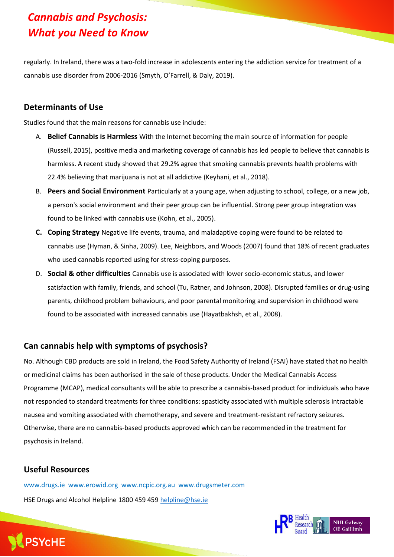# *Cannabis and Psychosis: What you Need to Know*

regularly. In Ireland, there was a two-fold increase in adolescents entering the addiction service for treatment of a cannabis use disorder from 2006-2016 (Smyth, O'Farrell, & Daly, 2019).

#### **Determinants of Use**

Studies found that the main reasons for cannabis use include:

- A. **Belief Cannabis is Harmless** With the Internet becoming the main source of information for people (Russell[, 2015\)](https://www-tandfonline-com.dcu.idm.oclc.org/doi/full/10.1080/03323315.2020.1779111), positive media and marketing coverage of cannabis has led people to believe that cannabis is harmless. A recent study showed that 29.2% agree that smoking cannabis prevents health problems with 22.4% believing that marijuana is not at all addictive (Keyhani, et al., 2018).
- B. **Peers and Social Environment** Particularly at a young age, when adjusting to school, college, or a new job, a person's social environment and their peer group can be influential. Strong peer group integration was found to be linked with cannabis use (Kohn, et al., 2005).
- **C. Coping Strategy** Negative life events, trauma, and maladaptive coping were found to be related to cannabis use (Hyman, & Sinha, 2009). Lee, Neighbors, and Woods (2007) found that 18% of recent graduates who used cannabis reported using for stress-coping purposes.
- D. **Social & other difficulties** Cannabis use is associated with lower socio-economic status, and lower satisfaction with family, friends, and school (Tu, Ratner, and Johnson, 2008). Disrupted families or drug-using parents, childhood problem behaviours, and poor parental monitoring and supervision in childhood were found to be associated with increased cannabis use (Hayatbakhsh, et al., 2008).

#### **Can cannabis help with symptoms of psychosis?**

No. Although CBD products are sold in Ireland, the Food Safety Authority of Ireland (FSAI) have stated that no health or medicinal claims has been authorised in the sale of these products. Under the Medical Cannabis Access Programme (MCAP), medical consultants will be able to prescribe a cannabis-based product for individuals who have not responded to standard treatments for three conditions: spasticity associated with multiple sclerosis intractable nausea and vomiting associated with chemotherapy, and severe and treatment-resistant refractory seizures. Otherwise, there are no cannabis-based products approved which can be recommended in the treatment for psychosis in Ireland.

#### **Useful Resources**

[www.drugs.ie](http://www.drugs.ie/) [www.erowid.org](http://www.erowid.org/) [www.ncpic.org.au](http://www.ncpic.org.au/) [www.drugsmeter.com](http://www.drugsmeter.com/) HSE Drugs and Alcohol Helpline 1800 459 459 [helpline@hse.ie](mailto:helpline@hse.ie)